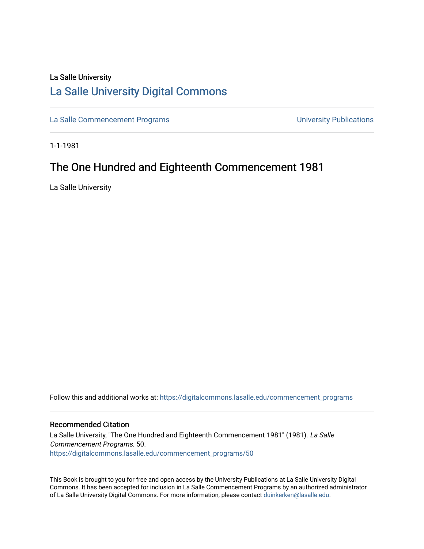# La Salle University [La Salle University Digital Commons](https://digitalcommons.lasalle.edu/)

[La Salle Commencement Programs](https://digitalcommons.lasalle.edu/commencement_programs) **Exercise 20 and Salle Commencement Programs** Communications

1-1-1981

# The One Hundred and Eighteenth Commencement 1981

La Salle University

Follow this and additional works at: [https://digitalcommons.lasalle.edu/commencement\\_programs](https://digitalcommons.lasalle.edu/commencement_programs?utm_source=digitalcommons.lasalle.edu%2Fcommencement_programs%2F50&utm_medium=PDF&utm_campaign=PDFCoverPages) 

## Recommended Citation

La Salle University, "The One Hundred and Eighteenth Commencement 1981" (1981). La Salle Commencement Programs. 50. [https://digitalcommons.lasalle.edu/commencement\\_programs/50](https://digitalcommons.lasalle.edu/commencement_programs/50?utm_source=digitalcommons.lasalle.edu%2Fcommencement_programs%2F50&utm_medium=PDF&utm_campaign=PDFCoverPages)

This Book is brought to you for free and open access by the University Publications at La Salle University Digital Commons. It has been accepted for inclusion in La Salle Commencement Programs by an authorized administrator of La Salle University Digital Commons. For more information, please contact [duinkerken@lasalle.edu.](mailto:duinkerken@lasalle.edu)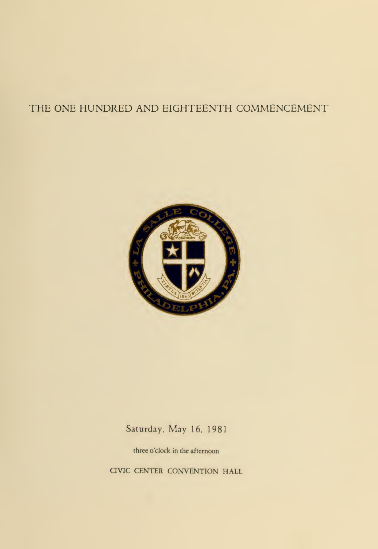## THE ONE HUNDRED AND EIGHTEENTH COMMENCEMENT



Saturday, May 16, 1981

three o'clock in the afternoon

CIVIC CENTER CONVENTION HALE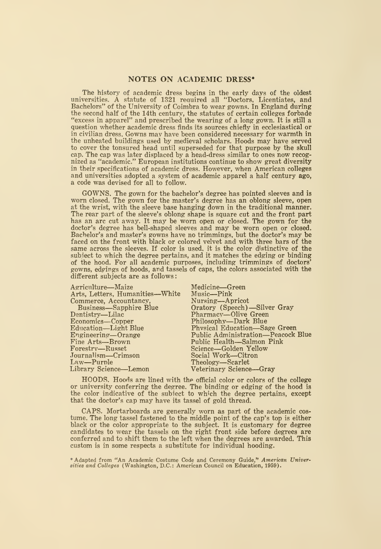#### NOTES ON ACADEMIC DRESS\*

The history of academic dress begins in the early days of the oldest universities. A statute of 1321 required all "Doctors, Licentiates, and Bachelors" of the University of Coimbra to wear gowns. In England during the second half of the 14th century, the statutes of certain colleges forbade "excess in apparel" and prescribed the wearing of a long gown. It is still a question whether academic dress finds its sources chiefly in ecclesiastical or in civilian dress. Gowns may have been considered necessary for warmth inthe unheated buildings used by medieval scholars. Hoods may have served to cover the tonsured head until superseded for that purpose by the skull cap. The cap was later displaced by a head-dress similar to ones now recognized as "academic." European institutions continue to show great diversity in their specifications of academic dress. However, when American colleges and universities adopted a system of academic apparel a half century ago, a code was devised for all to follow.

GOWNS. The gown for the bachelor's degree has pointed sleeves and is worn closed. The gown for the master's degree has an oblong sleeve, open at the wrist, with the sleeve base hanging down in the traditional manner. The rear part of the sleeve's oblong shape is square cut and the front part has an arc cut away. It may be worn open or closed. The gown for the doctor's degree has bell-shaped sleeves and may be worn open or closed. Bachelor's and master's gowns have no trimmings, but the doctor's may be faced on the front with black or colored velvet and with three bars of the<br>same across the sleeves. If color is used, it is the color distinctive of the<br>subject to which the degree pertains, and it matches the edging or bi of the hood. For allacademic purposes, including trimmings of doctors' gowns, edgings of hoods, and tassels of caps, the colors associated with the different subjects are as follows:

| Arts, Letters, Humanities-White<br>Music—Pink<br>Commerce, Accountancy,<br>Business—Sapphire Blue<br>Dentistry-Lilac<br>Economics-Copper<br>Education—Light Blue<br>Engineering-Orange<br>Fine Arts-Brown<br>Forestry-Russet<br>Journalism—Crimson<br>$Law-Purple$<br>Library Science-Lemon | Nursing-Apricot<br>Oratory (Speech)-Silver Gray<br>Pharmacy-Olive Green<br>Philosophy-Dark Blue<br>Physical Education-Sage Green<br>Public Administration—Peacock Blue<br>Public Health-Salmon Pink<br>Science-Golden Yellow<br>Social Work—Citron<br>Theology-Scarlet<br>Veterinary Science-Gray |
|---------------------------------------------------------------------------------------------------------------------------------------------------------------------------------------------------------------------------------------------------------------------------------------------|---------------------------------------------------------------------------------------------------------------------------------------------------------------------------------------------------------------------------------------------------------------------------------------------------|
|---------------------------------------------------------------------------------------------------------------------------------------------------------------------------------------------------------------------------------------------------------------------------------------------|---------------------------------------------------------------------------------------------------------------------------------------------------------------------------------------------------------------------------------------------------------------------------------------------------|

HOODS. Hoods are lined with the official color or colors of the college or university conferring the degree. The binding or edging of the hood is<br>the color indicative of the subject to which the degree pertains, except that the doctor's cap may have its tassel of gold thread.

CAPS. Mortarboards are generally worn as part of the academic cos tume. The long tassel fastened to the middle point of the cap's top is either black or the color appropriate to the subject. It is customary for degree candidates to wear the tassels on the right front side before degrees are conferred and to shift them to the left when the degrees are awarded. This custom is in some respects a substitute for individual hooding.

<sup>\*</sup> Adapted from "An Academic Costume Code and Ceremony Guide," American Universities and Colleges (Washington, D.C.: American Council on Education, 1959).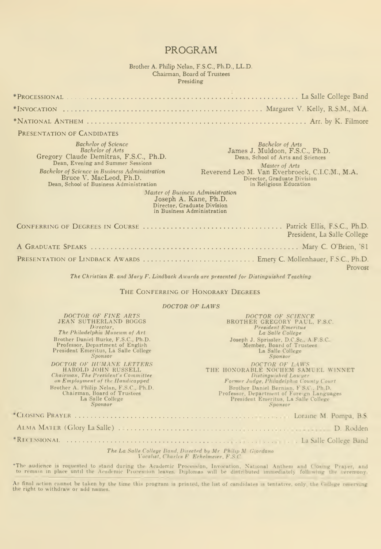### PROGRAM

Brother A. Philip Nelan, F.S.C., Ph.D., LL.D. Chairman, Board of Trustees Presiding

| PRESENTATION OF CANDIDATES                                                                                                                                                                                                         |                                                                                                                                                                                                                                                                   |
|------------------------------------------------------------------------------------------------------------------------------------------------------------------------------------------------------------------------------------|-------------------------------------------------------------------------------------------------------------------------------------------------------------------------------------------------------------------------------------------------------------------|
| <b>Bachelor of Science</b><br><b>Bachelor of Arts</b><br>Gregory Claude Demitras, F.S.C., Ph.D.<br>Dean, Evening and Summer Sessions<br>Bachelor of Science in Business Administration<br>Bruce V. MacLeod, Ph.D.                  | <b>Bachelor</b> of Arts<br>James J. Muldoon, F.S.C., Ph.D.<br>Dean, School of Arts and Sciences<br>Master of Arts<br>Reverend Leo M. Van Everbroeck, C.I.C.M., M.A.<br>Director, Graduate Division                                                                |
| Dean, School of Business Administration                                                                                                                                                                                            | in Religious Education<br>Master of Business Administration                                                                                                                                                                                                       |
|                                                                                                                                                                                                                                    | Joseph A. Kane, Ph.D.<br>Director, Graduate Division<br>in Business Administration                                                                                                                                                                                |
|                                                                                                                                                                                                                                    | President, La Salle College                                                                                                                                                                                                                                       |
|                                                                                                                                                                                                                                    |                                                                                                                                                                                                                                                                   |
|                                                                                                                                                                                                                                    | PRESENTATION OF LINDBACK AWARDS  Emery C. Mollenhauer, F.S.C., Ph.D.<br>Provost                                                                                                                                                                                   |
|                                                                                                                                                                                                                                    | The Christian R. and Mary F. Lindback Awards are presented for Distinguished Teaching                                                                                                                                                                             |
|                                                                                                                                                                                                                                    | THE CONFERRING OF HONORARY DEGREES                                                                                                                                                                                                                                |
|                                                                                                                                                                                                                                    | DOCTOR OF LAWS                                                                                                                                                                                                                                                    |
| DOCTOR OF FINE ARTS<br><b>JEAN SUTHERLAND BOGGS</b><br>Director,<br>The Philadelphia Museum of Art<br>Brother Daniel Burke, F.S.C., Ph.D.<br>Professor, Department of English<br>President Emeritus, La Salle College<br>Sponsor   | DOCTOR OF SCIENCE<br>BROTHER GREGORY PAUL. F.S.C.<br>President Emeritus<br>La Salle College<br>Joseph J. Sprissler, D.C.Sc., A F.S.C.<br>Member, Board of Trustees<br>La Salle College<br>Sponsor                                                                 |
| DOCTOR OF HUMANE LETTERS<br>HAROLD JOHN RUSSELL<br>Chairman, The President's Committee<br>on Employment of the Handicapped<br>Brother A. Philip Nelan, F.S.C., Ph.D.<br>Chairman, Board of Trustees<br>La Salle College<br>Sponsor | DOCTOR OF LAWS<br>THE HONORABLE NOCHEM SAMUEL WINNET<br>Distinguished Lawyer<br>Former Judge, Philadelphia County Court<br>Brother Daniel Bernian, F S.C., Ph.D.<br>Professor, Department of Foreign Languages<br>President Emeritus, La Salle College<br>Sponsor |
|                                                                                                                                                                                                                                    |                                                                                                                                                                                                                                                                   |
|                                                                                                                                                                                                                                    |                                                                                                                                                                                                                                                                   |
|                                                                                                                                                                                                                                    |                                                                                                                                                                                                                                                                   |
|                                                                                                                                                                                                                                    | The La Salle College Band, Directed by Mr. Philip M. Giordano                                                                                                                                                                                                     |

Vocalist, Charles F. Echelmeier, F.S.C.

"The audience is requested to stand during the Academic Procession, Invocation, National Anthem and Closing Prayer, and to remun in place until the Academic Procession leaves. Diplomas will be distributed immediately foll

As final action cannot be taken by the time this program is printed, the list of candidates is tentative, only, the Gellege reserving the right to withdraw or add names.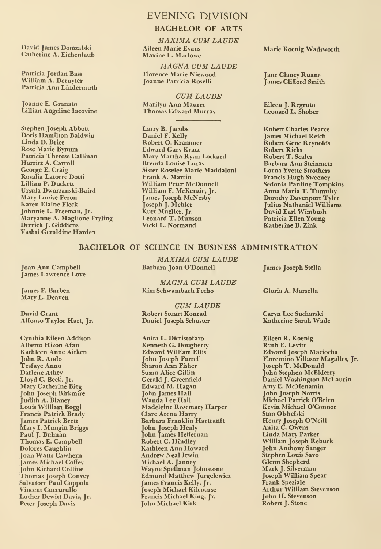David James Domzalski Catherine A. Eichenlaub

Patricia Jordan Bass William A. Deruyter Patricia Ann Lindermuth

Joanne E. Granato Lillian Angeline Iacovine

Stephen Joseph Abbott Doris Hamilton Baldwin Linda D. Brice Rose Marie Bynum Patricia Therese Callinan Harriet A. Carroll George E. Craig Rosalia Latorre Dotti Lillian P. Duckett Ursula Dworzanski-Baird Mary Louise Feron Karen Elaine Fleck Johnnie L. Freeman, Jr. Maryanne A. Maglione Fryling Derrick **J. Giddiens** Vashti Geraldine Harden

#### EVENING DIVISION

#### BACHELOR OF ARTS

MAXIMA CUM LAUDE Aileen Marie Evans Maxine L. Marlowe

MAGNA CUM LAUDE Florence Marie Niewood Joanne Patricia Roselli

## **CUM LAUDE**<br> **Eileen J. Regruto**

Marilyn Ann Maurer Thomas Edward Murray

Larry B. Jacobs Daniel F. Kelly Robert O. Krammer Edward Gary Kratz Mary Martha Ryan Lockard Brenda Louise Lucas Sister Roselee Marie Maddaloni Frank A. Martin William Peter McDonnell William F.McKenzie, Jr. James Joseph McNesby Joseph J. Mehler Kurt Mueller, Jr. Leonard T. Munson Vicki L. Normand

Marie Koenig Wadsworth

Jane Clancy Ruane James Clifford Smith

Leonard L. Shober

Robert Charles Pearce James Michael Reich Robert Gene Reynolds Robert Ricks Robert T. Scales Barbara Ann Steinmetz Lorna Yvette Strothers Francis Hugh Sweeney Sedonia Pauline Tompkins Anna Maria T. Tumulty Dorothy Davenport Tyler Julius Nathaniel Williams David Earl Wimbush Patricia Ellen Young Katherine B. Zink

#### BACHELOR OF SCIENCE IN BUSINESS ADMINISTRATION

Joan Ann Campbell James Lawrence Love

James F. Barben Mary L. Deaven

David Grant Alfonso Taylor Hart, Jr.

Cynthia Eileen Addison Alberto Hizon Afan Kathleen Anne Aitken John R. Ando Tesfaye Anno Darlene Athey Lloyd C. Beck, Jr. Mary Catherine Bieg John Joseph Birkmire Judith A. Blaney Louis William Boggi Francis Patrick Brady James Patrick Brett<br>Mary I. Mungin Briggs Paul J. Bulman<br>Thomas E. Campbell Dolores Caughlin Joan Watts Cawhern James Michael Coffey<br>John Richard Colline Thomas Joseph Convey Salvatore Paul Coppola Vincent Cuccurullo Luther Dewitt Davis, Jr. Peter Joseph Davis

MAXIMA CUM LAUDE<br>
ara Joan O'Donnell
James Joseph Stella Barbara Joan O'Donnell

MAGNA CUM LAUDE Kim Schwambach Fecho

CUM LAUDE Robert Stuart Konrad Daniel Joseph Schuster

Anita L. Dicristofaro Kenneth G. Dougherty Edward William Ellis John Joseph Farrell Sharon Ann Fisher Susan Alice Gillin Gerald J. Greenfield Edward M. Hagan Wanda Lee Hall Madeleine Rosemary Harper Clare Arena Harry Barbara Franklin Hartranft John Joseph Healy John James Heffernan Robert C. Hindley Kathleen Ann Howard Andrew Neal Irwin Michael A. Janney<br>Wayne Spellman Johnstone Wayne Spellman Johnstone<br>Edmund Matthew Jurgelewicz<br>James Francis Kelly, Jr. Joseph Michael Kilcourse Francis Michael King, Jr. John Michael Kirk

Gloria A. Marsella

Caryn Lee Sucharski Katherine Sarah Wade

Eileen R. Koenig Ruth E.Levitt Edward Joseph Maciocha Florentino Villasor Magalles, Jr. Joseph T. McDonald John Stephen McElderry Daniel Washington McLaurin Amy E. McMenamin John Joseph Norris Michael Patrick O'Brien Kevin Michael O'Connor Stan Olshefski Henry Joseph O'Neill<br>Anita C. Owens Linda Mary Parker William Joseph Rebuck John Anthony Sanger Stephen Louis Savo Glenn Shepherd Mark J. Silverman<br>Joseph William Spear Frank Speziale Arthur William Stevenson John H. Stevenson Robert J. Stone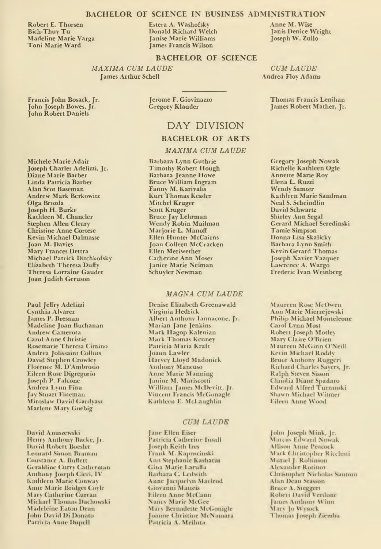#### BACHELOR OF SCIENCE IN BUSINESS ADMINISTRATION

Robert E. Thorsen **Bich-Thuy Tu Madeline Marie Varga** Toni Marie Ward

Estera A. Washofsky Donald Richard Welch **Ianise Marie Williams** James Francis Wilson

#### **BACHELOR OF SCIENCE**

MAXIMA CUM LAUDE **James Arthur Schell** 

Francis John Bosack, Jr. John Joseph Bowes, Jr. **John Robert Daniels** 

Jerome F. Giovinazzo **Gregory Klauder** 

### DAY DIVISION

#### **BACHELOR OF ARTS**

#### **MAXIMA CUM LAUDE**

**Michele Marie Adair** Joseph Charles Adelizzi, Jr. Diane Marie Barber Linda Patricia Barber Alan Scot Baseman **Andrew Mark Berkowitz** Olga Brozda Joseph H. Burke Kathleen M. Chancler **Stephen Allen Cleary Christine Anne Cortese Kevin Michael Dalmasse** Joan M. Davies Mary Frances Dettra Michael Patrick Ditchkofsky Elizabeth Theresa Duffy **Theresa Lorraine Gauder** Joan Judith Geruson

Paul Jeffry Adelizzi Cynthia Alvarez James P. Bresnan<br>Madeline Joan Buchanan Andrew Camerota **Carol Anne Christie** Rosemarie Theresa Cimino **Andrea Jolissaint Collins David Stephen Crowley** Florence M. D'Ambrosio Eileen Rose Digregorio Joseph P. Falcone Andrea Lynn Fina Jay Stuart Fineman Miroslaw David Gardyasz **Marlene Mary Goebig** 

David Anuszewski Henry Anthony Backe, Jr. David Robert Boesler **Leonard Simon Braman** Constance A. Buffett **Geraldine Curry Catherman** Anthony Joseph Cieri, IV Kathleen Marie Conway **Anne Marie Bridget Coyle** Mary Catherine Curran **Michael Thomas Dachowski Madeleine Eaton Dean** John David Di Donato Patricia Aune Dupell

Barbara Lynn Guthrie **Timothy Robert Hough** Barbara Jeanne Howe<br>Bruce William Ingram Fanny M. Karivalis **Kurt Thomas Kessler** Mitchel Kruger Scott Kruger Bruce Jay Lehrman Wendy Robin Mailman Mariorie L. Manoff Ellen Hunter McCairns **Joan Colleen McCracken** Ellen Meriwether **Catherine Ann Moser** Janice Marie Neiman Schuyler Newman

#### MAGNA CUM LAUDE

Denise Elizabeth Greenawald Virginia Hedrick Albert Anthony Iannacone, Jr. Marian Jane Jenkins<br>Mark Hagop Kalenian Mark Thomas Kenney Patricia Maria Kraft Joann Lawler Harvey Lloyd Madonick **Anthony Mancuso Anne Marie Manning** Janine M. Mariscotti William Jaures McDevitt, Jr. Vincent Francis McGonagle Kathleen E. McLaughlin

#### **CUM LAUDE**

**Jane Ellen Eiser** Patricia Catherine Insall Joseph Keith Izes Frank M. Kapuscinski Ann Stephanic Kashatus Gina Marie Laruffa Barbara C. Ledwith Anne Jacquelyn Macleod Giovanni Matteis Eileen Anne McCann Nancy Marie McGee Mary Bernadette McGonigle Joanne Christine McNamara Patricia A. Meiluta

Anne M. Wise **Tanis Denice Wright** Joseph W. Zullo

**CUM LAUDE Andrea Floy Adams** 

> Thomas Francis Lenihan James Robert Mather, Jr.

Gregory Joseph Nowak<br>Richelle Kathleen Ogle **Annette Marie Roy** Elena L. Ruzzi **Wendy Samter** Kathleen Marie Sandman Neal S. Scheindlin David Schwartz Shirley Ann Segal Gerard Michael Seredinski **Tamie Simpson** Donna Lisa Skalicky Barbara Lynn Smith **Kevin Gerard Thomas Joseph Xavier Vazquez** Lawrence A. Wargo Frederic Ivan Weinberg

Maureen Rose McOwen Ann Marie Mierzejewski **Philip Michael Monteleone** Carol Lynn Most Robert Joseph Motley Mary Claire O'Brien Maureen McGinn O'Neill Kevin Michael Roddy **Bruce Anthony Ruggeri** Richard Charles Savers, Jr. Ralph Steven Sisson Claudia Diane Spadaro<br>Edward Alfred Turzanski Shawn Michael Witmer Eileen Anne Wood

John Joseph Mink, Jr. Marcus Edward Nowak **Allison Anne Peacock** Mark Christopher Ricchini Muriel J. Robinson **Alexander Rotinov** Christopher Nicholas Santoro Alan Dean Stasson Bruce A. Steggert Robert David Verdone James Anthony Winn Mary Jo Wysock Thomas Joseph Ziemba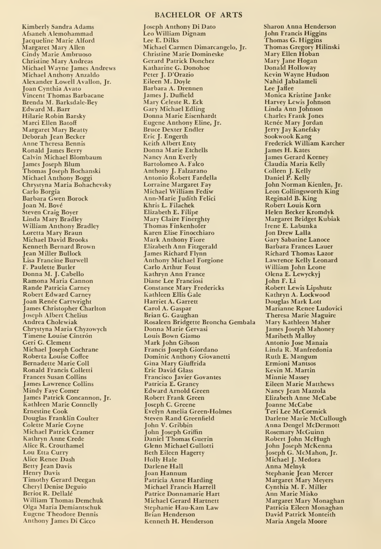#### BACHELOR OF ARTS

Kimberly Sandra Adams Afsaneh Alemohammad Jacqueline Marie Alford<br>Margaret Mary Allen Cindy Marie Ambruoso Christine Mary Andreas Michael Wayne James Andrews Michael Anthony Anzaldo Alexander Lowell Avallon, Jr. Joan Cynthia Avato Vincent Thomas Barbacane Brenda M. Barksdale-Bey Edward M. Barr Hilarie Robin Barsky Marci Ellen Batoff Margaret Mary Beatty Deborah Jean Becker Anne Theresa Bennis Ronald James Berry Calvin Michael Blombaum James Joseph Blum Thomas Joseph Bochanski Michael Anthony Boggi Chrystyna Maria Bohachevsky Carlo Borgia Barbara Gwen Borock Joan M. Bove Steven Craig Boyer Linda Mary Bradley William Anthony Bradley Loretta Mary Braun Michael David Brooks Kenneth Bernard Brown Jean Miller Bullock Lisa Francine Burwell F. Paulette Butler Ramona Maria Cannon Rande Patricia Carney Robert Edward Carney Joan Renée Cartwright James Christopher Charlton Joseph Albert Chelius Andrea Cholewiak Chrystyna Maria Chyzowych Timene Louise Cintrón Geri G. Clement Michael Joseph Cochrane Roberta Louise Coffee Bernadette Marie Coll Ronald Francis Colletti Frances Susan Collins James Lawrence Collins Mindy Faye Comer James Patrick Concannon, Jr. Kathleen Marie Connelly Ernestine Cook Douglas Franklin Coulter Colette Marie Coyne Michael Patrick Cramer Kathryn Anne Crede Alice R. Crouthamel Lou Etta Curry Alice Renee Dash Betty Jean Davis Henry Davis Timothy Gerard Deegan Cheryl Denise Deguio Beriot R. Dellale William Thomas Demchuk Olga Maria Demiantschuk Eugene Theodore Dennis Anthony James Di Cicco

Joseph Anthony Di Dato Leo William Dignam Lee E. Dilks Michael Carmen Dimarcangelo, Jr. Christine Marie Domineske Gerard Patrick Donchez Katharine G. Donohoe Peter J. D'Orazio Eileen M. Doyle Barbara A. Drennen James J. Duffield Mary Celeste R. Eck Gary Michael Edling Donna Marie Eisenhardt Eugene Anthony Eline, Jr. Bruce Dexter Endler Eric J. Engerth Keith Albert Enty Donna Marie Etchells Nancy Ann Everly Bartolomeo A. Falco Anthony J. Falzarano Antonio Robert Fardella Lorraine Margaret Fay Michael William Fediw Ann-Marie Judith Felici Khris L. Filachek Elizabeth E. Filipe Mary Claire Finerghty Thomas Finkenhofer Karen Elise Finocchiaro Mark Anthony Fiore Elizabeth Ann Fitzgerald James Richard Flynn Anthony Michael Forgione Carlo Arthur Foust Kathryn Ann France Diane Lee Franciosi Constance Mary Fredericks Kathleen Ellis Gale Harriet A. Garrett Carol A. Gaspar Brian G. Gaughan Rosaleen Bridgette Broncha Gembala Donna Marie Gervasi Louis Bown Giamo Mark John Gibson Francis Joseph Giordano Dominic Anthony Giovanetti Gina Mary Giuffrida Eric David Glass Francisco Javier Govantes Patricia E. Graney Edward Arnold Green Robert Frank Green Joseph C. Greene Evelyn Amelia Green-Holmes Steven Rand Greenfield John V. Gribbin John Joseph Griffin Daniel Thomas Guerin Glenn Michael Gullotti Beth Eileen Hagerty Holly Hale Darlene Hall Joan Hannum Patricia Anne Harding Michael Francis Harrell Patrice Donnamarie Hart Michael Gerard Hartnett Stephanie Hau-Kam Law Brian Henderson Kenneth H. Henderson

Sharon Anna Henderson John Francis Higgins Thomas G. Higgins Thomas Gregory Hilinski Mary Ellen Hoban Mary Jane Hogan Donald Holloway Kevin Wayne Hudson Nahid Jabalameli Lee Jaffee Monica Kristine Janke Harvey Lewis Johnson Linda Ann Johnson Charles Frank Jones Renée Mary Jordan<br>Jerry Jay Kanefsky Sookwook Kang Frederick William Karcher James H. Kates James Gerard Keeney Claudia Maria Kelly Colleen J. Kelly<br>Daniel P. Kelly John Norman Kienlen, Jr. Leon Collingsworth King Reginald B. King Robert Louis Korn Helen Becker Kromdyk Margaret Bridget Kubiak Irene E. Labunka **Jon Drew Lalla** Gary Sabatine Lanoce Barbara Frances Lauer Richard Thomas Lazor Lawrence Kelly Leonard William John Leone Olena E. Lewyckyj John F. Li Robert Lewis Lipshutz Kathryn A. Lockwood Douglas Mark Lott Marianne Renee Ludovici Theresa Marie Maguire Mary Kathleen Maher James Joseph Mahoney Maribeth Malloy Antonio Jose Manaia Linda R. Manfredonia Ruth E.Mangum Ermioni Mantsos Kevin M. Martin Minnie Massey Eileen Marie Matthews Nancy Jean Mazzola Elizabeth Anne McCabe Joanne McCabe Teri Lee McCormick Darlene Marie McCullough Anna Dengel McDermott Rosemary McGuinn Robert John McHugh John Joseph McKenna Joseph G. McMahon, Jr. Michael J. Medora Anna Melnyk Stephanie Jean Mercer Margaret Mary Meyers Cynthia M. F. Miller Ann Marie Misko Margaret Mary Monaghan Patricia Eileen Monaghan David Patrick Monteith Maria Angela Moore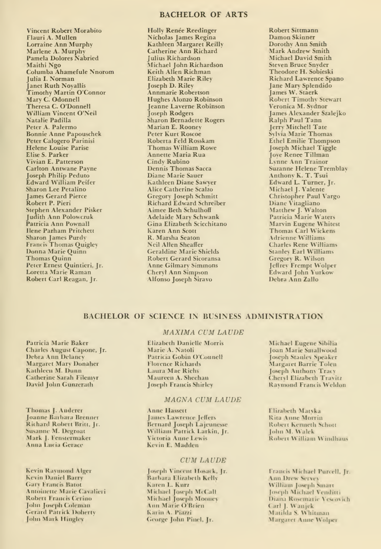#### **BACHELOR OF ARTS**

Vincent Robert Morabito Flauri A. Mullen **Lorraine Ann Murphy** Marlene A. Murphy Pamela Dolores Nabried Maithi Ngo Columba Ahamefule Nnorom Julia I. Norman Janet Ruth Novallis Timothy Martin O'Connor Mary C. Odonnell Theresa C. O'Donnell<br>William Vincent O'Neil Natalie Padilla Peter A. Palermo **Bonnie Anne Papouschek** Peter Calogero Parinisi **Helene Louise Parise** Elise S. Parker Vivian E. Patterson **Carlton Antwane Payne** Joseph Philip Peduto Edward William Peifer Sharon Lee Petalino **Iames Gerard Pierce** Robert P. Pieri Stephen Alexander Pisker Judith Ann Polowczuk Patricia Ann Pownall Ilene Parham Pritchett Sharon James Purdy Francis Thomas Quigley Donna Marie Quinn Thomas Ouinn Peter Ernest Quintieri, Jr. Loretta Marie Raman Robert Carl Reagan, Jr.

**Holly Renée Reedinger** Nicholas James Regina Kathleen Margaret Reilly Catherine Ann Richard **Julius Richardson** Michael John Richardson Keith Allen Richman **Elizabeth Marie Riley** Joseph D. Riley Annmarie Robertson Hughes Alonzo Robinson Jeanne Laverne Robinson Joseph Rodgers Sharon Bernadette Rogers Marian E. Rooney Peter Kurt Roscoe Roberta Feld Rosskam Thomas William Rowe Annette Maria Rua Cindy Rubino **Dennis Thomas Sacca** Diane Marie Sauer Kathleen Diane Sawver Alice Catherine Scalzo Gregory Joseph Schmitt<br>Richard Edward Schreiber Aimee Beth Schulhoff **Adelaide Mary Schwank** Gina Elizabeth Scicchitano Karen Ann Scott R. Marsha Seaton Neil Allen Sheaffer **Geraldine Marie Shields Robert Gerard Sicoransa Anne Gilmary Simmons Cheryl Ann Simpson** Alfonso Joseph Siravo

**Robert Sittmann** Damon Skinner Dorothy Ann Smith Mark Andrew Smith Michael David Smith **Steven Bruce Snyder** Theodore H. Sobieski **Richard Lawrence Spano** Jane Mary Splendido James W. Staerk Robert Timothy Stewart Veronica M. Sydnor James Alexander Szaleiko Ralph Paul Tann Jerry Mitchell Tate Sylvia Marie Thomas Ethel Emilie Thompson Joseph Michael Tiggle Jove Renee Tillman Lynne Ann Trainor Suzanne Helene Tremblay Anthony K. T. Tsui<br>Edward L. Turner, Jr.<br>Michael J. Valente Christopher Paul Vargo Diane Vitagliano Matthew J. Walton Patricia Marie Waters Marvin Eugene Whitest Thomas Carl Wickens **Adrienne Williams Charles Rene Williams Stanley Earl Williams** Gregory R. Wilson Jeffrey Frempt Wolper Edward John Yurkow Debra Ann Zallo

#### BACHELOR OF SCIENCE IN BUSINESS ADMINISTRATION

Patricia Marie Baker Charles August Capone, Jr. **Debra Ann Delancy Margaret Mary Donaher** Kathleen M. Dunn **Catherine Sarah Filemvr** David John Gunzerath

Thomas J. Anderer Joanne Barbara Brenner Richard Robert Britt, Jr. Susanne M. Degroat Mark J. Fenstermaker Anna Lucia Gerace

**Kevin Raymond Alger Kevin Daniel Barry Gary Francis Batot** Antoinette Marie Cavalieri **Robert Francis Cerino** John Joseph Coleman **Gerard Patrick Doherty** John Mark Hingley

#### **MAXIMA CUM LAUDE**

**Elizabeth Danielle Morris** Marie A. Natoli Patricia Gobin O'Connell **Florence Richards** Laura Mae Richs Maureen A. Sheehan Joseph Francis Shirley

#### MAGNA CUM LAUDE

**Anne Hassett** James Lawrence Jeffers **Bernard Joseph Lajeunesse** William Patrick Larkin, Jr. Victoria Anne Lewis Kevin E. Madden

#### **CUM LAUDE**

Joseph Vincent Hosack, Jr. **Barbara Elizabeth Kelly** Karen L. Kurz Michael Joseph McCall Michael Joseph Mooney Ann Marie O'Brien Karin A. Piazzi George John Pinel, Jr.

**Michael Eugene Sibilia** Joan Marie Smallwood Joseph Stanley Speaker Margaret Barrie Tolen **Joseph Anthony Tracy Cheryl Elizabeth Travitz Raymond Francis Weldon** 

Elizabeth Maryka Rita Anne Morrin Robert Kenneth Schott John M. Walck Robert William Windhaus

Francis Michael Purcell, Jr. Ann Drew Servey William Joseph Smart Joseph Michael Venditti Diana Rosemarie Vescovich Carl J. Wanjek Matilda S. Whitman Margaret Anne Wolper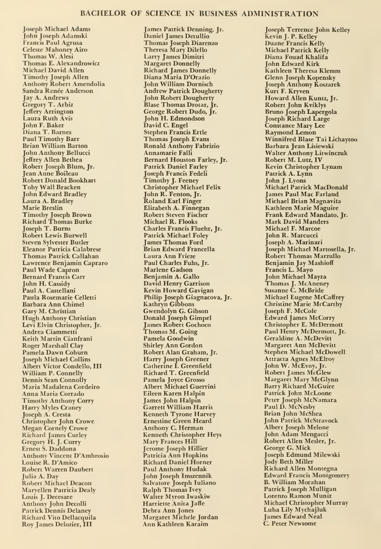#### BACHELOR OF SCIENCE IN BUSINESS ADMINISTRATION

Joseph Michael Adams John Joseph Adamski Francis Paul Agrusa Celeste Mahoney Airo Thomas W. Alesi Thomas E. Alexandrowicz Michael David Allen Timothy Joseph Allen Anthony Robert Amendolia Sandra Renée Anderson Jay A. Andrews Gregory T. Arbiz Jeffery Arrington Laura Ruth Avis John F. Baker Diana T. Barnes Paul Timothy Barr Brian William Barton John Anthony Bellucci Jeffrey Allen Bethea Robert Joseph Blum, Jr. Jean Anne Boileau Robert Donald Bookhart Toby Wall Bracken John Edward Bradley Laura A. Bradley Marie Breslin Timothy Joseph Brown Richard Thomas Burke Joseph T. Burns Robert Lewis Burwell Steven Sylvester Butler Eleanor Patricia Calabrese Thomas Patrick Callahan Lawrence Benjamin Capraro Paul Wade Capron Bernard Francis Carr John H. Cassidy Paul A. Castellani Paula Rosemarie Celletti Barbara Ann Chimel Gary M. Christian Hugh Anthony Christian Levi Elvin Christopher, Jr. Andrea Ciammetti Keith Martin Cianfrani Roger Marshall Clay Pamela Dawn Coburn Joseph Michael Collins Albert Victor Condello, III William P. Connelly Dennis Sean Connolly Maria Madalena Cordeiro Anna Maria Corrado Timothy Anthony Corry Harry Myles Craney Joseph A. Cresta Christopher John Crowe Megan Comely Crowe Richard James Curley Gregory H. J. Curry Ernest S.Daddona Anthony Vincent D'Ambrosio Louise R. D'Amico Robert Warren Daubert Julia A. Day Robert Michael Deacon Maryellen Patricia Dealy<br>Louis J. Decesare Anthony John Decolli Patrick Dennis Delaney Richard Vito Dellacquila Roy James Delozier, III

James Patrick Denning, Jr. Thomas Joseph Diarenzo Theresa Mary Dilello Larry James Dimitri Margaret Donnelly Richard James Donnelly Diana Maria D'Orazio John William Dornisch Andrew Patrick Dougherty John Robert Dougherty Blase Thomas Drotar, Jr. George Robert Dudo, Jr. John H. Edmondson David C. Engel Stephen Francis Ertle Thomas Joseph Evans Ronald Anthony Fabrizio Annamarie Falli Bernard Houston Farley, Jr. Patrick Daniel Farley Joseph Francis Fedeli Timothy J. Feeney Christopher Michael Felix John R. Fenton, Jr.<br>Roland Earl Finger Elizabeth A. Finnegan Robert Steven Fischer Michael R. Flooks Charles Francis Fluehr, Jr. Patrick Michael Foley James Thomas Ford Brian Edward Francella Laura Ann Frieze Paul Charles Fuhs, Jr. Marlene Gadson Benjamin A. Gallo David Henry Garrison Kevin Howard Gavigan Philip Joseph Giagnacova, Jr. Kathryn Gibbons Gwendolyn G. Gibson Donald Joseph Gimpel James Robert Gochoco Thomas M. Going Pamela Goodwin Shirley Ann Gordon Robert Alan Graham, Jr. Harry Joseph Greener Catherine I. Greenfield Richard T. Greenfield Pamela Joyce Grosso Albert Michael Guerrini Eileen Karen Halpin James John Halpin Garrett William Harris Kenneth Tyrone Harvey Ernestine Green Heard Anthony C. Herman Kenneth Christopher Heys Mary Frances Hill Jerome Joseph Hillier Patricia Ann Hopkins Richard Daniel Horner Paul Anthony Hudak John Joseph Imszennik Salvatore Joseph Iuliano Ralph Thomas Ivey Walter Myron Iwaskiw Harriette Anita Jaffe Debra Ann Jones Margaret Michele Jordan Ann Kathleen Karaim

Joseph <mark>Terrence John Kelley</mark><br>Kevin J. P. Kellev Duane Francis Kelly Michael Patrick Kelly Diana Fouad Khalifa John Edward Kirk Kathleen Theresa Klemm Glenn Joseph Kopensky Joseph Anthony Koszarek Kurt F. Kryven Howard Allen Kuntz, Jr. Robert John Kviklys Bruno Joseph Lapergola Joseph Richard Large Constance Mary Lee Raymond Lemon Winnifred Blase Tai Lichaytoo Barbara Jean Lisiewski Walter Anthony Litwinczuk Robert M. Lutz, IV Kevin Christopher Lynam Patrick A. Lynn John J. Lyons Michael Patrick MacDonald James Paul Mac Farland Michael Brian Magnavita Kathleen Marie Maguire Frank Edward Mandato, Jr. Mark David Manders Michael F. Marcoe John R. Marcucci Joseph A. Marinari Joseph Michael Martosella, Jr. Robert Thomas Marzullo Benjamin Jay Mashioff Francis L. Mayo John Michael Mayza Thomas J. McAneney Susanne C. McBride Michael Eugene McCaffrey Christine Marie McCarthy Joseph F. McCole Edward James McCorry Christopher E. McDermott Paul Henry McDermott, Jr. Geraldine A. McDevitt Margaret Ann McDevitt Stephen Michael McDowell Attracta Agnes McElroy John W. McEvoy, Jr. Robert James McGlew Margaret Mary McGlynn Barry Richard McGuire Patrick John McLoone Peter Joseph McNamara Paul D. McNesby Brian John McShea John Patrick McStravock Albert Joseph Melone John Adam Mengacci Robert Allen Mesler, Jr. George G. Mick Joseph Edmund Milewski Jody Beth Miller Richard Allen Montegna Edward Francis Montgomery B. William Morahan Patrick Joseph Mulligan Lorenzo Ramon Muniz Michael Christopher Murray Luba Lily Mychajluk James Edward Neal C. Peter Newsome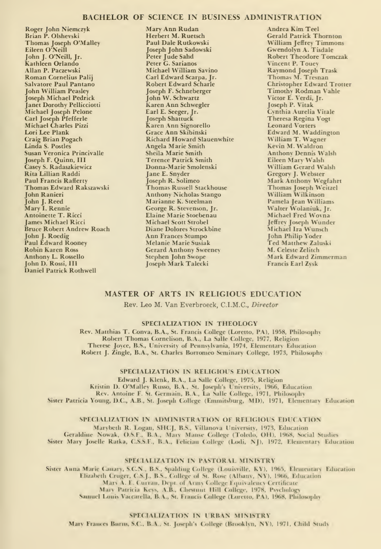#### BACHELOR OF SCIENCE IN BUSINESS ADMINISTRATION

Roger John Niemczyk Brian P. Olshevski Thomas Joseph O'Malley Eileen O'Neill<br>John J. O'Neill, Jr. Kathleen Orlando Allan P. Paczewski Roman Cornelius Palij Salvatore Paul Pantano John William Peasley Joseph Michael Pedrick Janet Dorothy Pellicciotti Michael Joseph Pelone Carl Joseph Pfefferle<br>Michael Charles Pizzi Lori Lee Plank Craig Brian Pogach Linda S. Postles Susan Veronica Princivalle Joseph F. Quinn, III Casey S. Radaszkiewicz Rita Lillian Raddi Paul Francis Rafferty Thomas Edward Rakszawski John Ranieri John J. Reed Mary I. Rennie Antoinette T. Ricci James Michael Ricci Bruce Robert Andrew Roach John J. Roedig Paul Edward Rooney Robin Karen Ross Anthony L. Rossello John D. Rossi, III Daniel Patrick Rothwell

Mary Ann Rudan Herbert M. Ruetsch Paul Dale Rutkowski Joseph John Sadowski Peter Jude Sahd Peter G. Sarianos Michael William Savino Carl Edward Scarpa, Jr. Robert Edward Scharle Joseph F. Schneberger<br>John W. Schwartz Karen Ann Schwegler Earl E. Seeger, Jr. Joseph Shattuck Karen Ann Signorello Grace Ann Skibinski Richard Howard Slauenwhite Angela Marie Smith Sheila Marie Smith Terence Patrick Smith Donna-Marie Smolenski Jane E. Snyder Joseph R. Solimeo Thomas Russell Stackhouse Anthony Nicholas Stango Marianne K. Steelman George R. Stevenson, Jr. Elaine Marie Stoebenau Michael Scott Strobel Diane Dolores Strockbine Ann Frances Stumpo Melanie Marie Susiak Gerard Anthony Sweeney Stephen John Swope Joseph Mark Talecki

Andrea Kim Teel Gerald Patrick Thornton William Jeffrey Timmons Gwendolyn A. Tisdale Robert Theodore Tomczak Vincent P. Toue\ Raymond Joseph Trask Thomas M. Tresnan Christopher Edward Trotter Timothv Rodman Vahle Victor E. Verdi, Jr. Joseph P. Vitak Cvnthia Aurelia Vitale Theresa Regina Vogt Leonard Vorters Edward M. Waddington William T. Wagner Kevin M. Waldron Anthon\ Dennis Walsh Eileen Mary Walsh William Gerard Walsh Gregory J. Webster Mark Anthonv Wegfahrt Thomas Joseph Weitzel William Wilkinson Pamela Jean Williams Walter Wolaniuk, Jr. Michael Fred Wovna Jeffrey Joseph Wunder Michael Ira Wunsch John Philip Voder Ted Matthew Zaluski M. Celeste Zelitch Mark Edward Zimmerman Francis Earl Zysk

#### MASTER OF ARTS IN RELIGIOUS EDUCATION

Rev. Leo M. Van Everbroeck, C.I.M.C, Director

#### SPECIALIZATION IN THEOLOGY

Rev. Matthias T. Conva, B.A., St. Francis College (Loretto, PA), 1958, Philosophy Robert Thomas Cornelison, B.A., La Salle College, 1977, Religion Therese Joyce, B.S., University of Pennsylvania, 1974, Elementary Education Robert J. Zingle, B.A., St. Charles Borromeo Seminary College, 1973, Philosophy

#### SPECIALIZATION IN RELIGIOUS EDUCATION

Edward J. Klenk, B.A., La Salle College, 1975, Religion Kristin D. O'Malley Russo, B.A., St. Joseph's University, 1966, Education Rev. Antoine F. St. Germain, B.A., La Salle College, 1971, Philosophy Sister Patricia Young, D.C., A.B., St. Joseph College (Emmitsburg, MD), 1971, Elementary Education

#### SPECIALIZATION IN ADMINISTRATION OF RELIGIOUS EDUCATION

Marybeth R. Logan, SHCJ, B.S., Villanova University, 1973, Education Geraldine Nowak, O.S.F., B.A., Mary Manse College (Toledo, OH), 1968, Social Studies Sister Mary Joselle Ratka, C.S.S.F., B.A., Felician College (Lodi, NJ), 1972, Elementary Education

#### SPECIALIZATION IN PASTORAL MINISTRY

Sister Anna Marie Canary, S.C.N., B.S., Spalding College (Louisville, KY), 1965, Elementary Education Elizabeth Cruger, C.S.J., B.S., College of St. Rose (Albany, NY), 1966, Education Mary A. E. Curran, Dept. of Army College Equivalency Certificate Mary Patricia Keys, A.B., Chestnut Hill College, 1978, Psycholog Samuel Louis Vaccarella, B.A., St. Francis College (Loretto, PA), 1968, Philosophy

#### SPECIALIZATION IN URBAN MINISTRY

Mary Frances Burns, S.C., B.A., St. Joseph's College (Brooklyn, NY), 1971. Child Study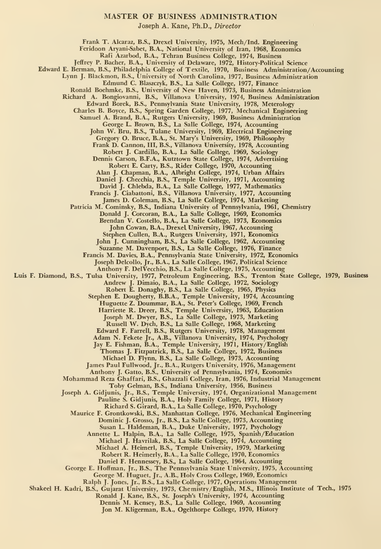MASTER OF BUSINESS ADMINISTRATION

Joseph A. Kane, Ph.D., Director

Frank T. Alcaraz, B.S., Drexel University, 1975, Mech/Ind. Engineering Feridoon Aryani-Sabet, B.A., National University of Iran, 1968, Economics Rafi Azarbod, B.A., Tehran Business College, 1974, Business Jeffrey P. Bacher, B.A., University of Delaware, 1972, History-Political Science<br>Edward E. Berman, B.S., Philadelphia College of Textile, 1970, Business Administration/Accounting<br>Lynn J. Blackmon, B.S., University of North Richard A. Bongiovanni, B.S., Villanova University, 1974, Business Administration Edward Borek, B.S., Pennsylvania State University, 1978, Meterology Charles B. Boyce, B.S., Spring Garden College, 1977, Mechanical Engineering Samuel A. Brand, B.A., Rutgers University, 1969, Business Administration George L. Brown, B.S., La Salle College, 1974, Accounting John W. Bru, B.S., Tulane University, 1969, Electrical Engineering Gregory O. Bruce, B.A., St. Mary's University, 1969, Philosophy Frank D. Cannon, III, B.S., Villanova University, 1978, Accounting<br>Robert J. Cardillo, B.A., La Salle College, 1969, Sociology Dennis Carson, B.F.A., Kutztown State College, 1974, Advertising Robert E. Carty, B.S., Rider College, 1970, Accounting Alan J. Chapman, B.A., Albright College, 1974, Urban Affairs<br>Daniel J. Checchia, B.S., Temple University, 1971, Accounting<br>David J. Chlebda, B.A., La Salle College, 1977, Machematics<br>Francis J. Ciabattoni, B.S., Villanova James D. Coleman, B.S., La Salle College, 1974, Marketing Patricia M. Cominsky, B.S., Indiana University of Pennsylvania, 1961, Chemistry Donald J. Corcoran, B.A., La Salle College, 1969, Economics Brendan V. Costello, B.A., La Salle College, 1973, Economics John Cowan, B.A., Drexel University, 1967, Accounting Stephen Cullen, B.A., Rutgers University, 1971, Economics<br>John J. Cunningham, B.S., La Salle College, 1962, Accounting<br>Suzanne M. Davenport, B.S., La Salle College, 1976, Finance Francis M. Davies, B.A., Pennsylvania State University, 1972, Economics Joseph Delcollo, Jr., B.A., La Salle College, 1967, Political Science Anthony F. DelVecchio, B.S., La Salle College, 1975, Accounting Luis F. Diamond, B.S., Tulsa University, 1977, Petroleum Engineering, B.S., Trenton State College, 1979, Business<br>Andrew J. Dimaio, B.A., La Salle College, 1972, Sociology<br>Robert E. Donaghy, B.S., La Salle College, 1965, P Stephen E. Dougherty, B.B.A., Temple University, 1974, Accounting Huguette Z. Doummar, B.A., St. Peter's College, 1969, French Harriette R. Dreer, B.S., Temple University, 1963, Education Joseph M. Dwyer, B.S., La Salle College, 1973, Marketing Russell W. Dych, B.S., La Salle College, 1968, Marketing Adam N. Fekete Jr., A.B., Villanova University, 1974, Psychology<br>Jay E. Fishman, B.A., Temple University, 1971, History/English Thomas J. Fitzpatrick, B.S., La Salle College, 1972, Business Michael D. Flynn, B.S., La Salle College, 1973, Accounting James Paul Fullwood, Jr., B.A., Rutgers University, 1976, Management<br>Anthony J. Gatto, B.S., University of Pennsylvania, 1974, Economics Anthony J. Gatto, B.S., University of Pennsylvania, 1974, Economics Mohammad Reza Ghaffari, B.S., Ghazzali College, Iran, 1976, Industrial Management Toby Gelman, B.S., Indiana University, 1956, Business Joseph A. Gidjunis, Jr., B.S., Temple University, 1974, Organizational Management Pauline S. Gidjunis, B.A., Holy Family College, 1971, History Richard S. Girard, B.A., La Salle College, 1970, Psychology Maurice F. Grontkowski, B.S., Manhattan College, 1976, Mechanical Engineering Dominic J. Grosso, Jr., B.S., La Salle College, 1973, Accounting Susan L. Haldeman, B.A., Duke University, 1977, Psychology Annette L. Halpin, B.A., La Salle College, 1975, Spanish/Education Michael J. Havrilak, B.S., La Salle College, 1974, Accounting Michael A. Heimerl, B.S., Temple University, 1979, Marketing Robert R. Heimerly, B.A., La Salle College, 1970, Economics Daniel F. Hennessey, B.S., La Salle College, 1964, Accounting George E. Hoffman, Jr., B.S., The Pennsylvania State University, 1975, Accounting George M. Huguet, Jr., A.B., Holy Cross College, 1969, Economics Ralph J. Jones, Jr., B.S., La Salle College, 1977, Operations Management Shakeel H. Kadri, B.S., Gujarat University, 1973, Chemistry/English, M.S., Illinois Institute of Tech., 1975 Ronald J. Kane, B.S., St. Joseph's University, 1974, Accounting Dennis M. Kensey, B.S., La Salle College, 1969, Accounting

Jon M. Kligerman, B.A., Ogelthorpe College, 1970, History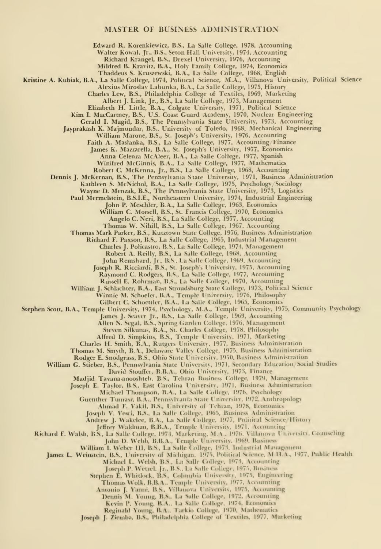#### MASTER OF BUSINESS ADMINISTRATION

Edward R. Korenkiewicz, B.S., La Salle College, 1978, Accounting Walter Kowal, Jr., B.S., Seton Hall University, 1974, Accounting Richard Krangel, B.S., Drexel University, 1976, Accounting Mildred B. Kravitz, B.A., Holy Family College, 1974, Economics<br>Thaddeus S. Kruszewski, B.A., La Salle College, 1968, English<br>Kristine A. Kubiak, B.A., La Salle College, 1974, Political Science, M.A., Villanova University, Alexius Miroslav Labunka, B.A., La Salle College, 1975, History Charles Lew, B.S., Philadelphia College of Textiles, 1969, Marketing Albert J. Link, Jr., B.S., La Salle College, 1973, Management Elizabeth H. Little, B.A., Colgate University, 1971, Political Science Kim I. MacCartney, B.S., U.S. Coast Guard Academy, 1970, Nuclear Engineering Gerald I. Magid, B.S., The Pennsylvania State University, 1973, Accounting Jayprakash K. Majmundar, B.S., University of Toledo, 1968, Mechanical Engineering William Marone, B.S., St. Joseph's University, 1976, Accounting<br>Faith A. Maslanka, B.S., La Salle College, 1977, Accounting/Finance<br>James K. Mazzarella, B.A., St. Joseph's University, 1977, Economics Anna Celenza McAleer, B.A., La Salle College, 1977, Spanish Winifred McGinnis, B.A., La Salle College, 1977, Mathematics Robert C. McKenna, Jr., B.S., La Salle College, 1968, Accounting Dennis J. McKernan, B.S., The Pennsylvania State University, 1971, Business Administration Kathleen S. McNichol, B.A., La Salle College, 1975, Psychology Sociology Wayne D. Menzak, B.S., The Pennsylvania State University, 1973, Logistics<br>Paul Mermelstein, B.S.I.E., Northeastern University, 1974, Industrial Engineering<br>John P. Meschler, B.A., La Salle College, 1963, Economics<br>William Angelo C. Neri, B.S., La Salle College, 1977, Accounting Thomas W. Nihill, B.S., La Salle College, 1967, Accounting Thomas Mark Parker, B.S., Kutztown State College, 1976, Business Administration Richard F. Paxson, B.S., La Salle College, 1965, Industrial Management Charles J. Policastro, B.S., La Salle College, 1974, Management Robert A. Reilly, B.S., La Salle College, 1968, Accounting John Remshard, Jr., B.S., La Salle College, 1969, Accounting<br>Joseph R. Ricciardi, B.S., St. Joseph's University, 1975, Accounting Raymond C. Rodgers, B.S., La Salle College, 1977, Accounting<br>Russell E. Rohrman, B.S., La Salle College, 1970, Accounting William J. Schlachter, B.A., East Stroudsburg State College, 1973, Political Science Winnie M. Schoefer, B.A., Temple University, 1976, Philosophy Gilbert C. Schoettler, B.A., La Salle College, 1965, Economics Stephen Scott, B.A., Temple University, 1974, Psychology, M.A., Temple University, 1975, Community Psychology James J. Seaver Jr., B.S., La Salle College, 1969, Accounting Allen N. Segal, B.S., Spring Garden College, 1976, Management Steven Silkunas, B.A., St. Charles College, 1978, Philosophy Alfred D. Simpkins, B.S., Temple University, 1971, Marketing Charles H. Smith, B.A., Rutgers University, 1977, Business Administration Thomas M. Smyth, B.A., Delaware Valley College, 1975, Business Administration Rodger E. Snodgrass, B.S., Ohio State University, 1950, Business Administration William G. Stieber, B.S., Pennsylvania State University, 1971, Secondary Education Social Studies David Stouffer, B.B.A.. Ohio University, 1975, Finance Madjid Tavana-anooshteh, B.S., Tehran Business College, 1979, Management Joseph E. Taylor, B.S., East Carolina University, 1971, Business Administration Michael Thompson, B.A., La Salle College, 1976, Psychology Guenther Tumasz, B.A., Pennsylvania State University, 1972, Anthropology Ahmad F. Vakil, B.S., University of Tehran, 1978, Economics Joseph V, Vesci, B.S., La Salle College, 1965, Business Administration Andrew J. Wakelee, B.A., La Salle College, 1977, Political Science History Jeffrey Waldman, B.B.A., Temple University, 1971, Accounting Richard F. Walsh, B.S., La Salle College, 1974, Marketing, M.A., 1976, Villanova University, Connseling John D. Webb, B.B.A., Temple University, 1969, Business William I. Weber III, B.S., La Salle College, 1973, Industrial Management James L. Weinstein, B.S., University of Michigan, 1975, Political Science, M.H.A., 1977. Public Health Michael L. Welsh, B.S., La Salle College, 1975, Accounting<br>Joseph P. Wetzel, Jr., B.S., La Salle College, 1975, Business<br>Stephen E. Whitdock, B.S., Columbia University, 1975, Engineering<br>Thomas Wolk, B.B.A., Temple Univers

Kevin P. Young, B.A., La Salle College, 1974, Economics Reginald Young, B.A., Tarkio College, 1970, Mathematics

Joseph J. Ziemba, B.S., Philadelphia College of Textiles, 1977, Marketing